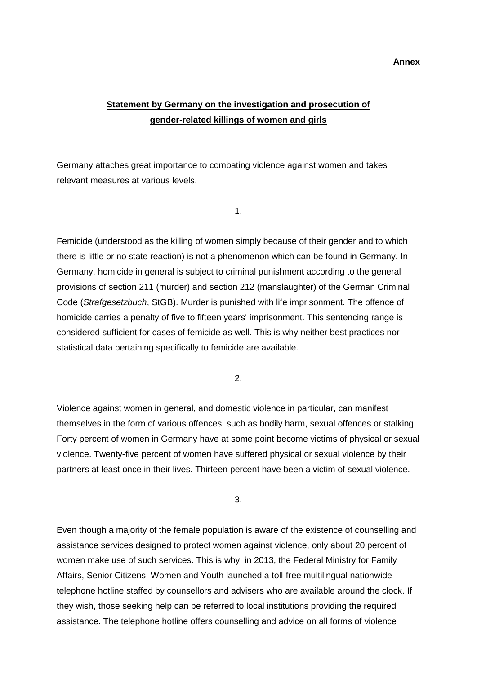**Annex**

## **Statement by Germany on the investigation and prosecution of gender-related killings of women and girls**

Germany attaches great importance to combating violence against women and takes relevant measures at various levels.

1.

Femicide (understood as the killing of women simply because of their gender and to which there is little or no state reaction) is not a phenomenon which can be found in Germany. In Germany, homicide in general is subject to criminal punishment according to the general provisions of section 211 (murder) and section 212 (manslaughter) of the German Criminal Code (*Strafgesetzbuch*, StGB). Murder is punished with life imprisonment. The offence of homicide carries a penalty of five to fifteen years' imprisonment. This sentencing range is considered sufficient for cases of femicide as well. This is why neither best practices nor statistical data pertaining specifically to femicide are available.

2.

Violence against women in general, and domestic violence in particular, can manifest themselves in the form of various offences, such as bodily harm, sexual offences or stalking. Forty percent of women in Germany have at some point become victims of physical or sexual violence. Twenty-five percent of women have suffered physical or sexual violence by their partners at least once in their lives. Thirteen percent have been a victim of sexual violence.

3.

Even though a majority of the female population is aware of the existence of counselling and assistance services designed to protect women against violence, only about 20 percent of women make use of such services. This is why, in 2013, the Federal Ministry for Family Affairs, Senior Citizens, Women and Youth launched a toll-free multilingual nationwide telephone hotline staffed by counsellors and advisers who are available around the clock. If they wish, those seeking help can be referred to local institutions providing the required assistance. The telephone hotline offers counselling and advice on all forms of violence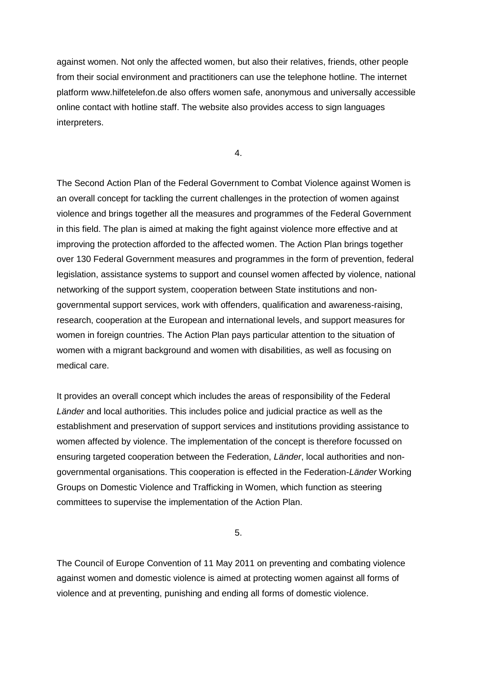against women. Not only the affected women, but also their relatives, friends, other people from their social environment and practitioners can use the telephone hotline. The internet platform www.hilfetelefon.de also offers women safe, anonymous and universally accessible online contact with hotline staff. The website also provides access to sign languages interpreters.

4.

The Second Action Plan of the Federal Government to Combat Violence against Women is an overall concept for tackling the current challenges in the protection of women against violence and brings together all the measures and programmes of the Federal Government in this field. The plan is aimed at making the fight against violence more effective and at improving the protection afforded to the affected women. The Action Plan brings together over 130 Federal Government measures and programmes in the form of prevention, federal legislation, assistance systems to support and counsel women affected by violence, national networking of the support system, cooperation between State institutions and nongovernmental support services, work with offenders, qualification and awareness-raising, research, cooperation at the European and international levels, and support measures for women in foreign countries. The Action Plan pays particular attention to the situation of women with a migrant background and women with disabilities, as well as focusing on medical care.

It provides an overall concept which includes the areas of responsibility of the Federal *Länder* and local authorities. This includes police and judicial practice as well as the establishment and preservation of support services and institutions providing assistance to women affected by violence. The implementation of the concept is therefore focussed on ensuring targeted cooperation between the Federation, *Länder*, local authorities and nongovernmental organisations. This cooperation is effected in the Federation-*Länder* Working Groups on Domestic Violence and Trafficking in Women, which function as steering committees to supervise the implementation of the Action Plan.

5.

The Council of Europe Convention of 11 May 2011 on preventing and combating violence against women and domestic violence is aimed at protecting women against all forms of violence and at preventing, punishing and ending all forms of domestic violence.